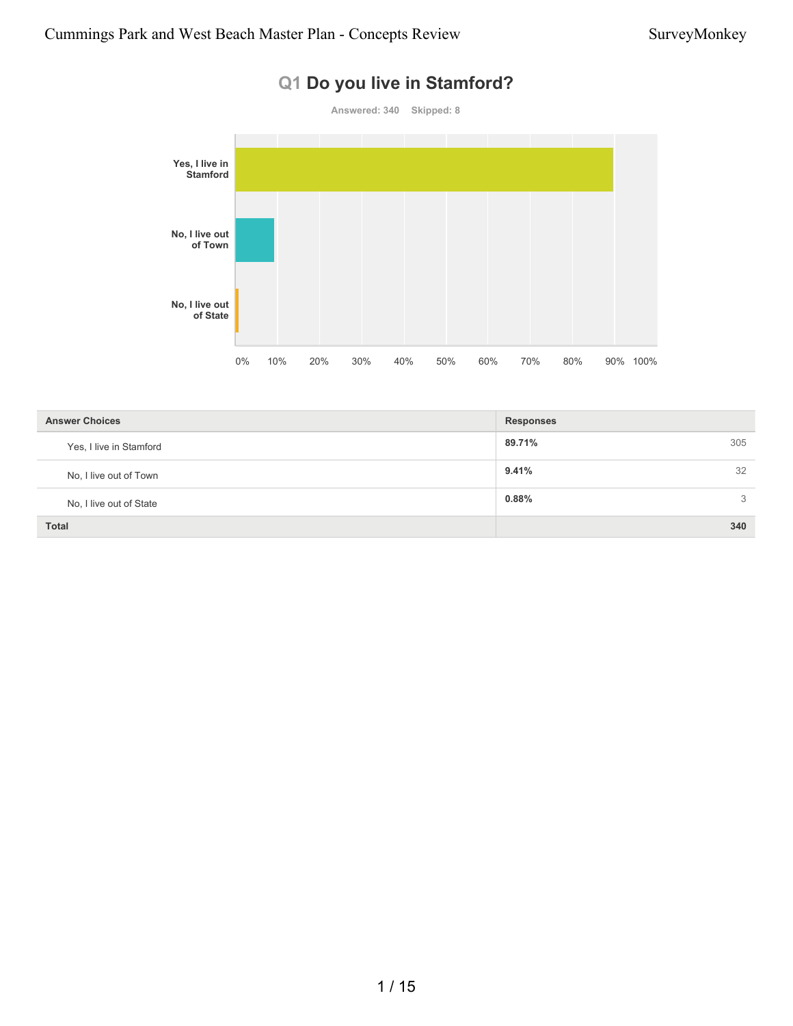**of State**



0% 10% 20% 30% 40% 50% 60% 70% 80% 90% 100%

# **Q1 Do you live in Stamford?**

| <b>Answer Choices</b>   | <b>Responses</b> |
|-------------------------|------------------|
| Yes, I live in Stamford | 89.71%<br>305    |
| No, I live out of Town  | 32<br>9.41%      |
| No, I live out of State | 0.88%<br>3       |
| <b>Total</b>            | 340              |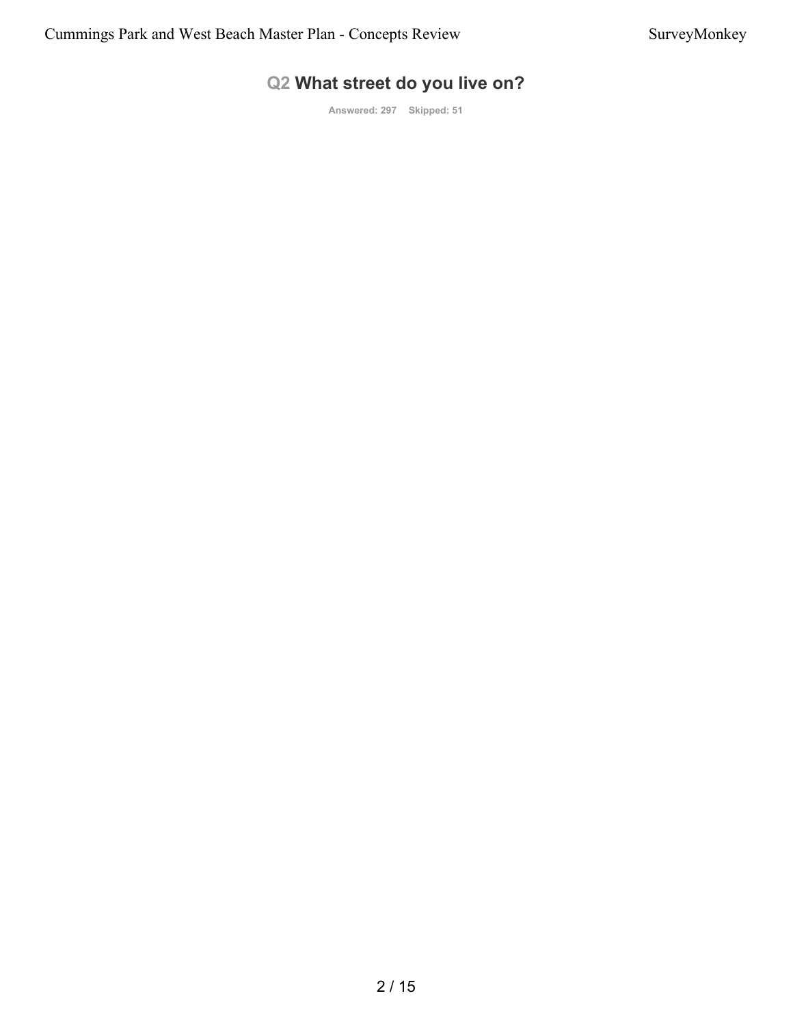# **Q2 What street do you live on?**

**Answered: 297 Skipped: 51**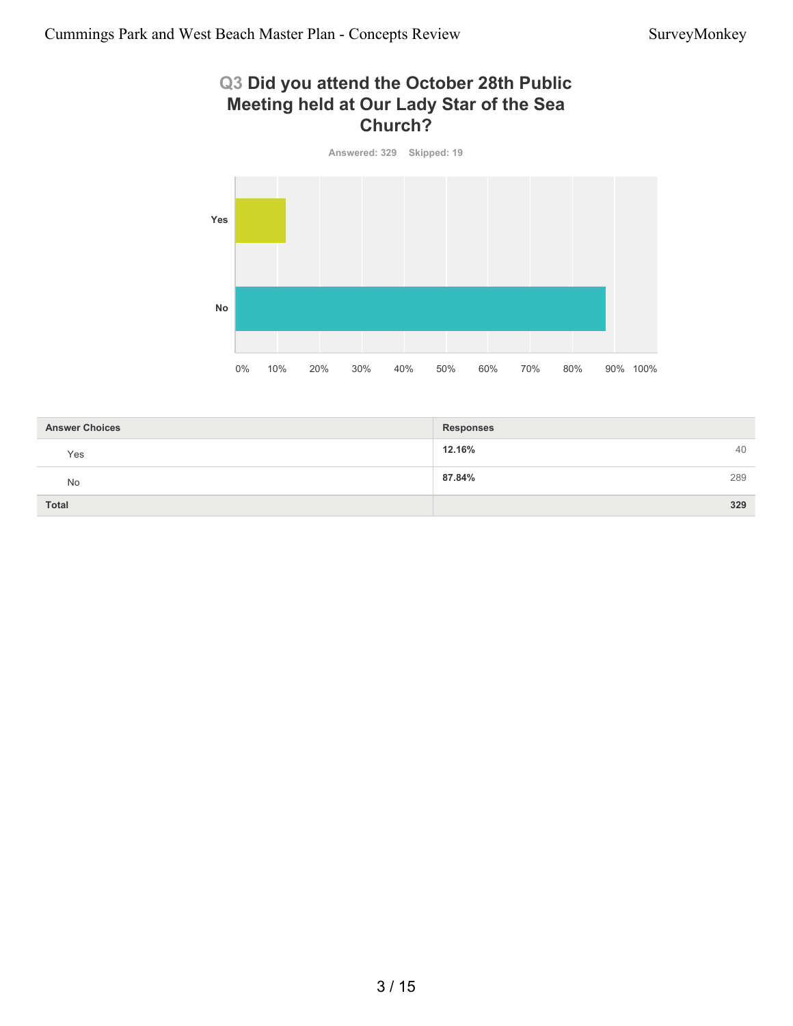#### **Q3 Did you attend the October 28th Public Meeting held at Our Lady Star of the Sea Church?**



| <b>Answer Choices</b> | <b>Responses</b> |
|-----------------------|------------------|
| Yes                   | 12.16%<br>40     |
| No                    | 87.84%<br>289    |
| <b>Total</b>          | 329              |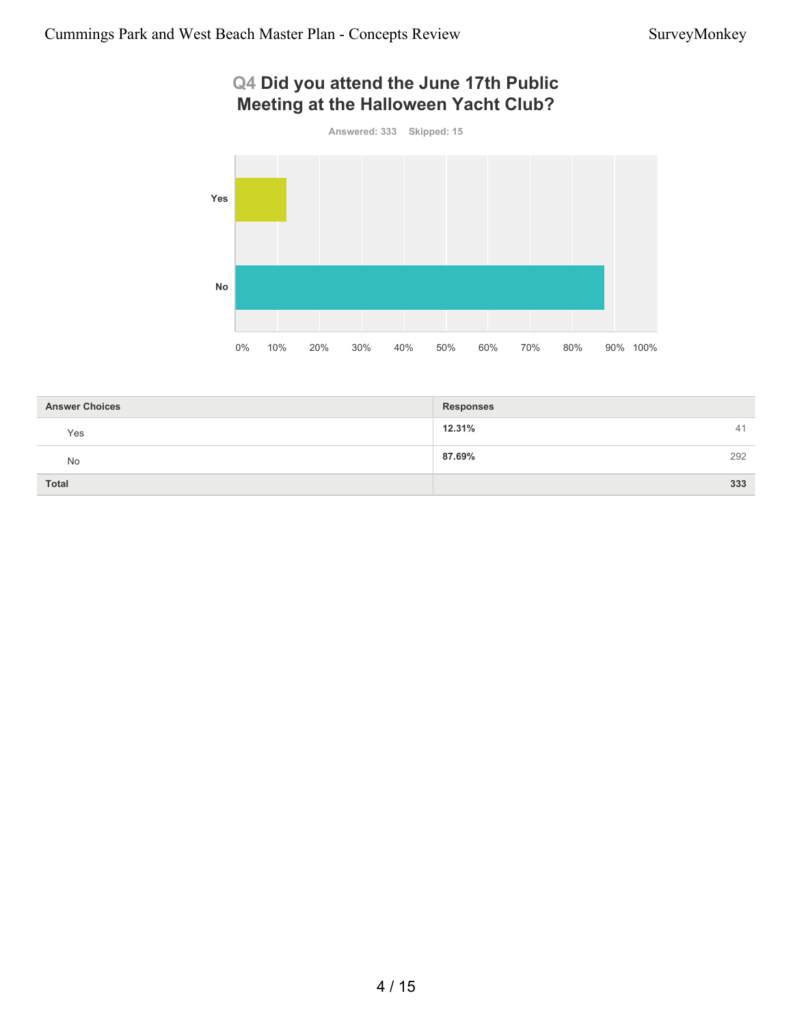#### **Q4 Did you attend the June 17th Public Meeting at the Halloween Yacht Club?**



| <b>Answer Choices</b> | <b>Responses</b> |
|-----------------------|------------------|
| Yes                   | 12.31%<br>41     |
| No                    | 292<br>87.69%    |
| Total                 | 333              |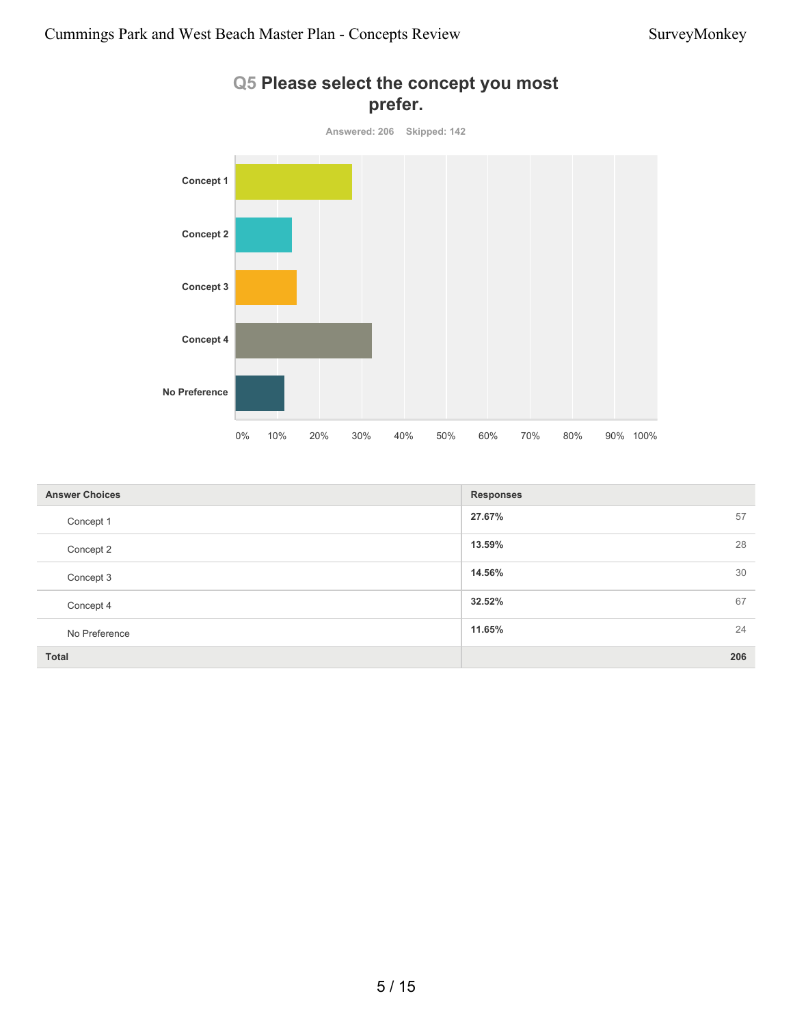

# **Q5 Please select the concept you most prefer.**

| <b>Answer Choices</b> | <b>Responses</b> |
|-----------------------|------------------|
| Concept 1             | 27.67%<br>57     |
| Concept 2             | 28<br>13.59%     |
| Concept 3             | 30<br>14.56%     |
| Concept 4             | 67<br>32.52%     |
| No Preference         | 24<br>11.65%     |
| <b>Total</b>          | 206              |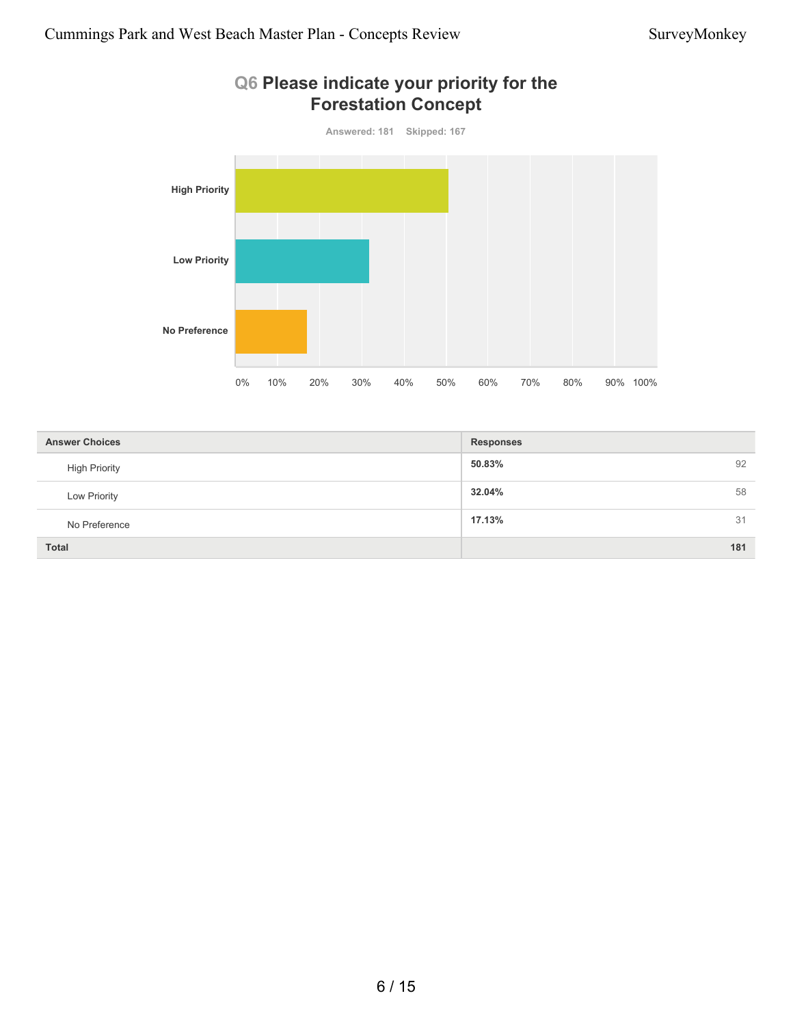# **Q6 Please indicate your priority for the Forestation Concept**



| <b>Answer Choices</b> | <b>Responses</b> |
|-----------------------|------------------|
| <b>High Priority</b>  | 50.83%<br>92     |
| Low Priority          | 32.04%<br>58     |
| No Preference         | 17.13%<br>31     |
| <b>Total</b>          | 181              |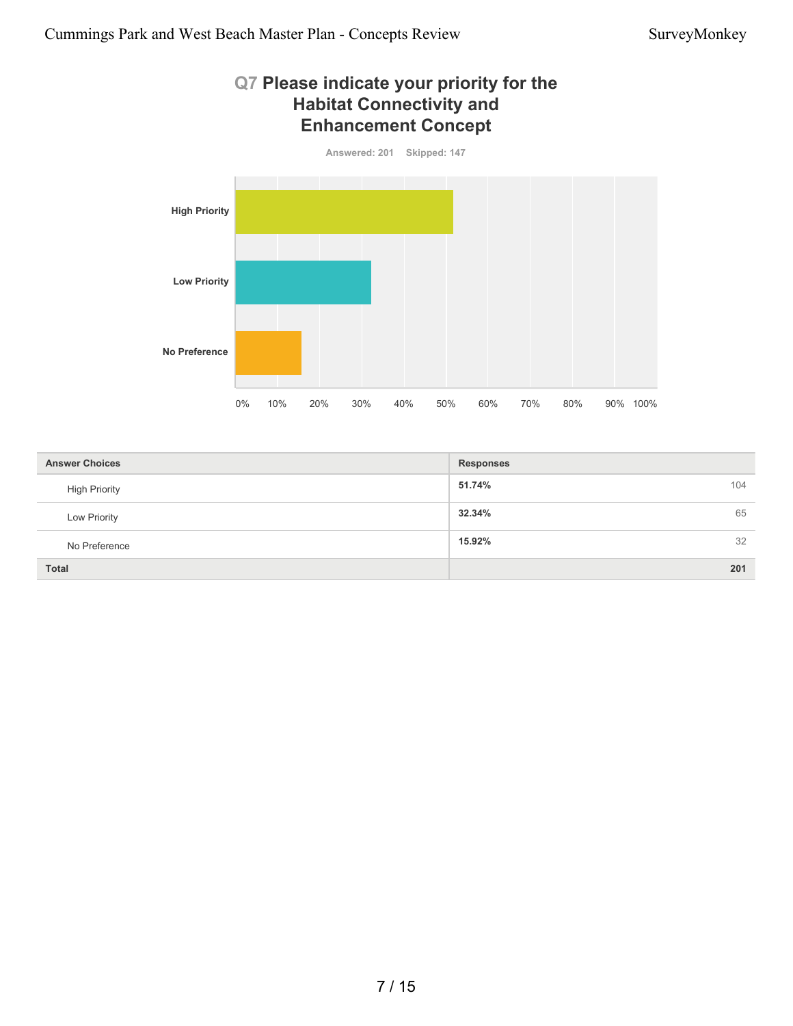#### **Q7 Please indicate your priority for the Habitat Connectivity and Enhancement Concept**



| <b>Answer Choices</b> | <b>Responses</b> |
|-----------------------|------------------|
| <b>High Priority</b>  | 51.74%<br>104    |
| Low Priority          | 32.34%<br>65     |
| No Preference         | 32<br>15.92%     |
| <b>Total</b>          | 201              |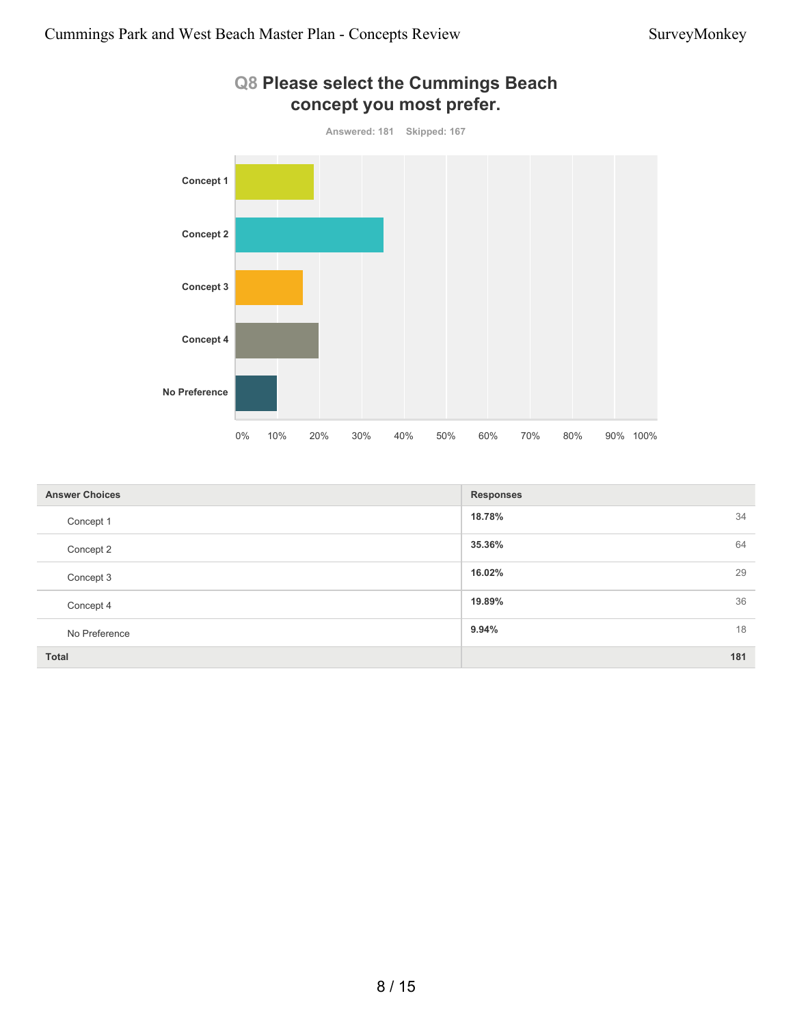

| <b>Q8 Please select the Cummings Beach</b> |  |  |
|--------------------------------------------|--|--|
| concept you most prefer.                   |  |  |

| <b>Answer Choices</b> | <b>Responses</b> |
|-----------------------|------------------|
| Concept 1             | 34<br>18.78%     |
| Concept 2             | 35.36%<br>64     |
| Concept 3             | 29<br>16.02%     |
| Concept 4             | 36<br>19.89%     |
| No Preference         | 18<br>9.94%      |
| <b>Total</b>          | 181              |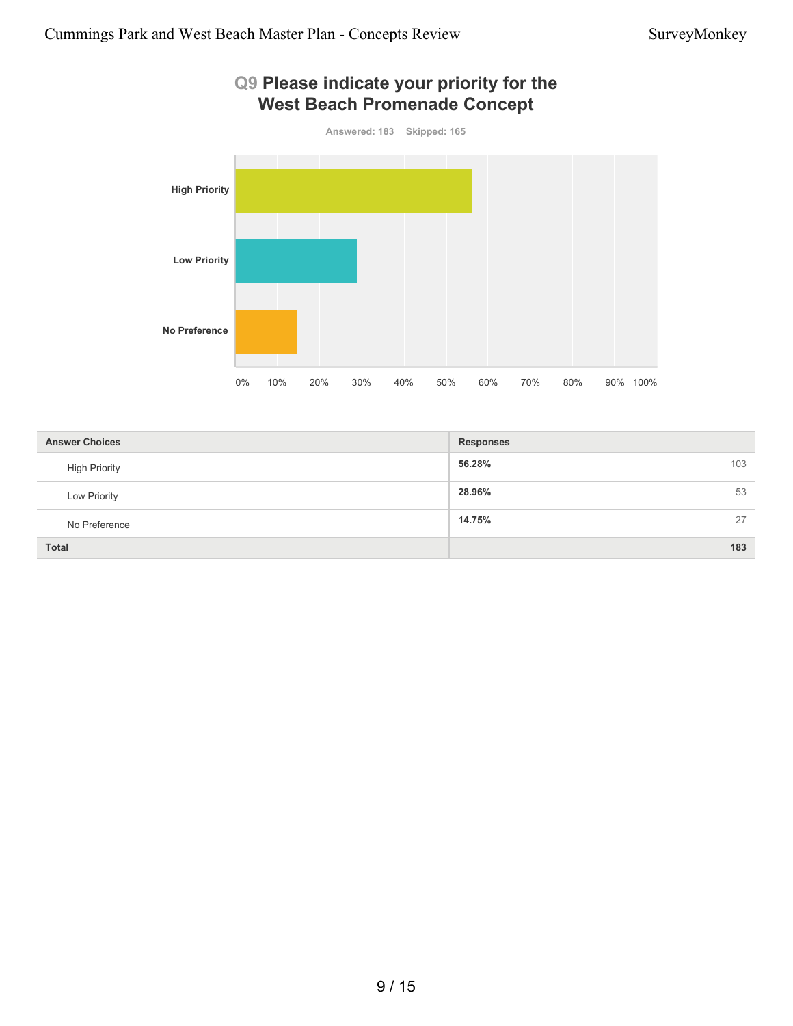#### **Q9 Please indicate your priority for the West Beach Promenade Concept**



| <b>Answer Choices</b> | <b>Responses</b> |
|-----------------------|------------------|
| <b>High Priority</b>  | 56.28%<br>103    |
| Low Priority          | 28.96%<br>53     |
| No Preference         | 27<br>14.75%     |
| <b>Total</b>          | 183              |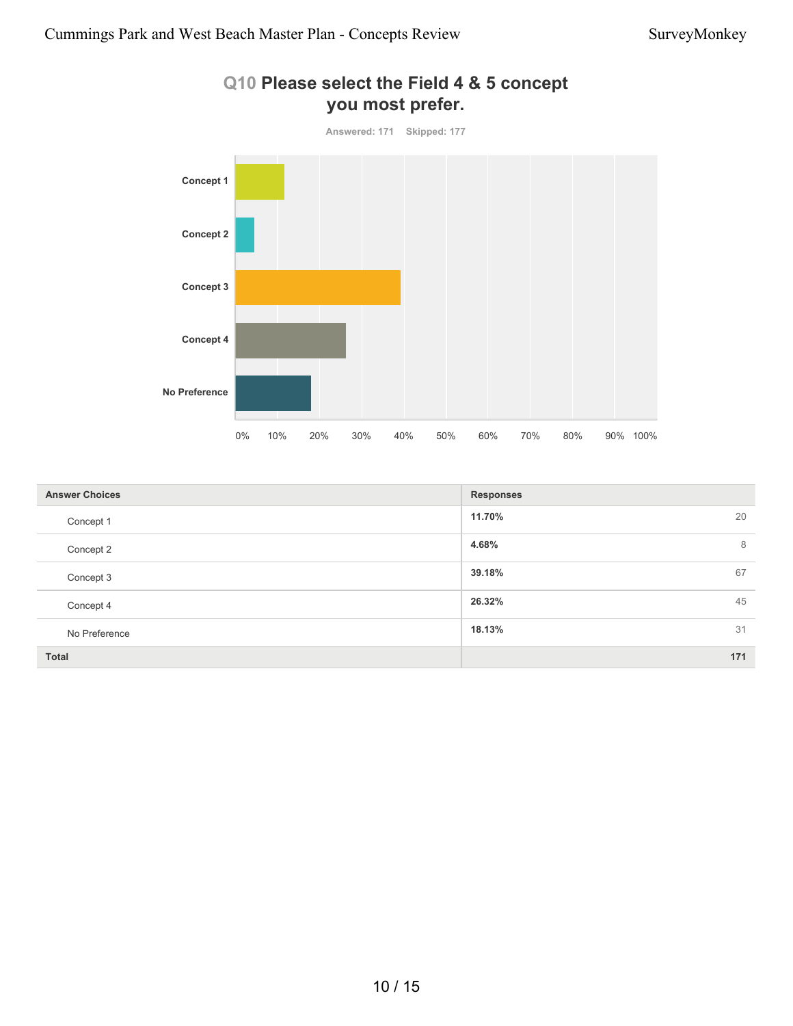

| Q10 Please select the Field 4 & 5 concept |                  |  |  |
|-------------------------------------------|------------------|--|--|
|                                           | you most prefer. |  |  |

| <b>Answer Choices</b> | <b>Responses</b> |
|-----------------------|------------------|
| Concept 1             | 20<br>11.70%     |
| Concept 2             | 4.68%<br>8       |
| Concept 3             | 67<br>39.18%     |
| Concept 4             | 26.32%<br>45     |
| No Preference         | 18.13%<br>31     |
| <b>Total</b>          | 171              |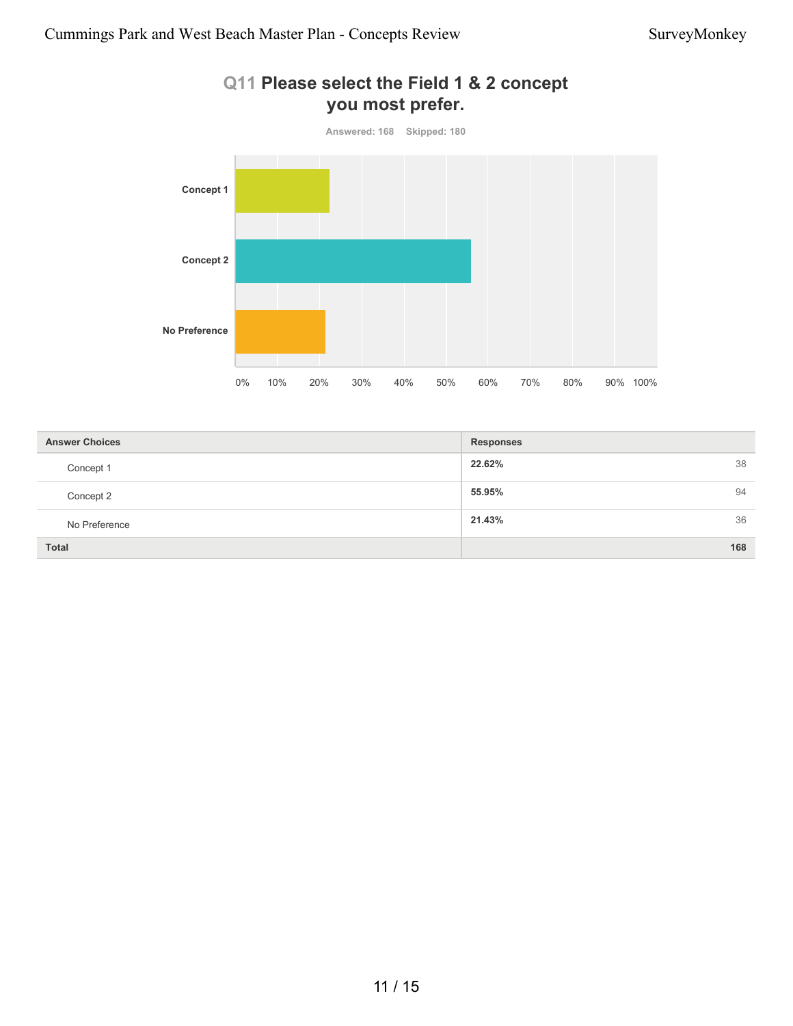

# **Q11 Please select the Field 1 & 2 concept**

| <b>Answer Choices</b> | <b>Responses</b> |
|-----------------------|------------------|
| Concept 1             | 22.62%<br>38     |
| Concept 2             | 55.95%<br>94     |
| No Preference         | 21.43%<br>36     |
| <b>Total</b>          | 168              |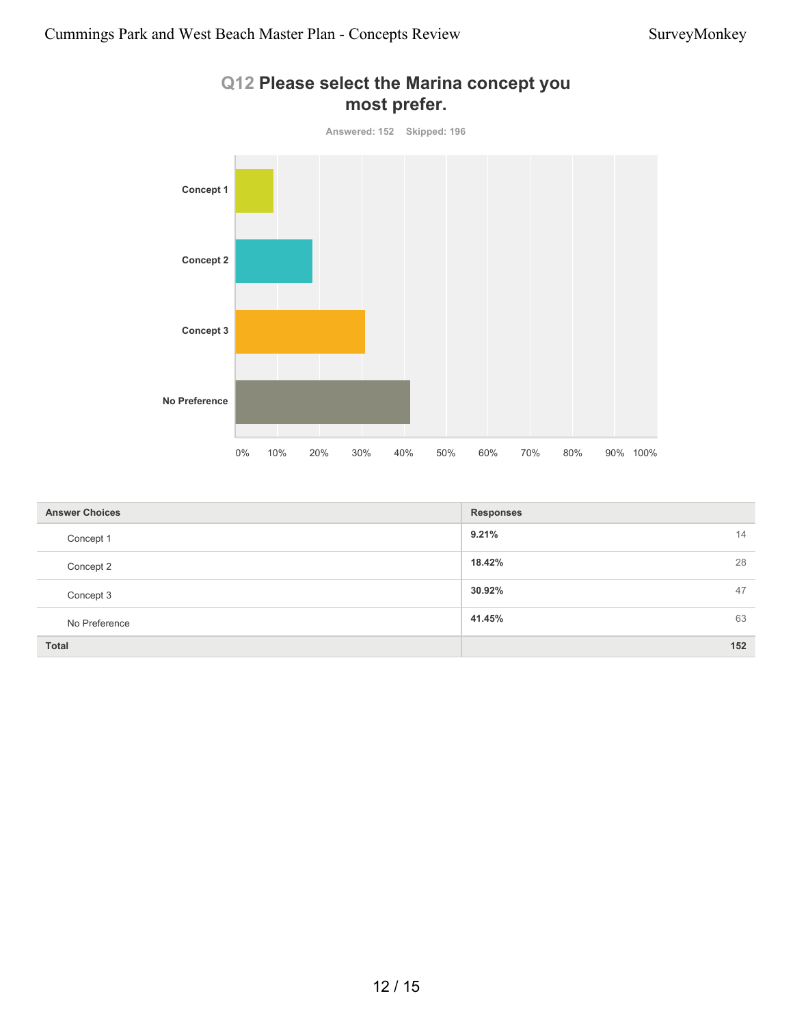

#### **Q12 Please select the Marina concept you most prefer.**

| <b>Answer Choices</b> | <b>Responses</b> |
|-----------------------|------------------|
| Concept 1             | 9.21%<br>14      |
| Concept 2             | 28<br>18.42%     |
| Concept 3             | 30.92%<br>47     |
| No Preference         | 41.45%<br>63     |
| <b>Total</b>          | 152              |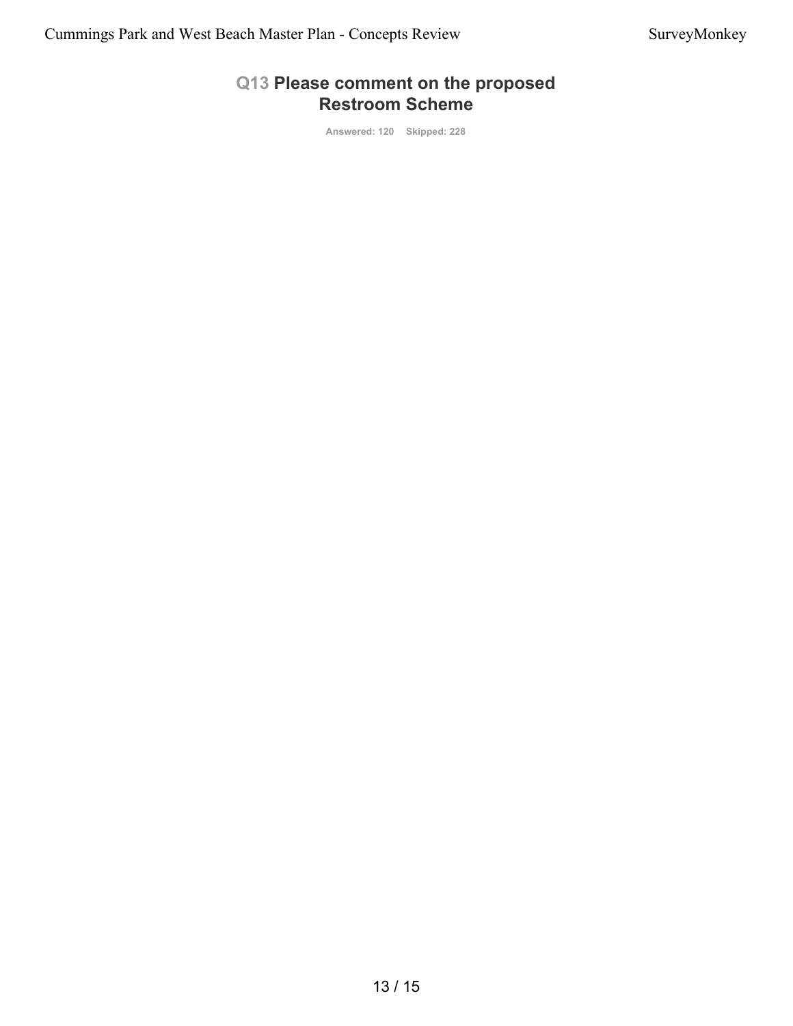#### **Q13 Please comment on the proposed Restroom Scheme**

**Answered: 120 Skipped: 228**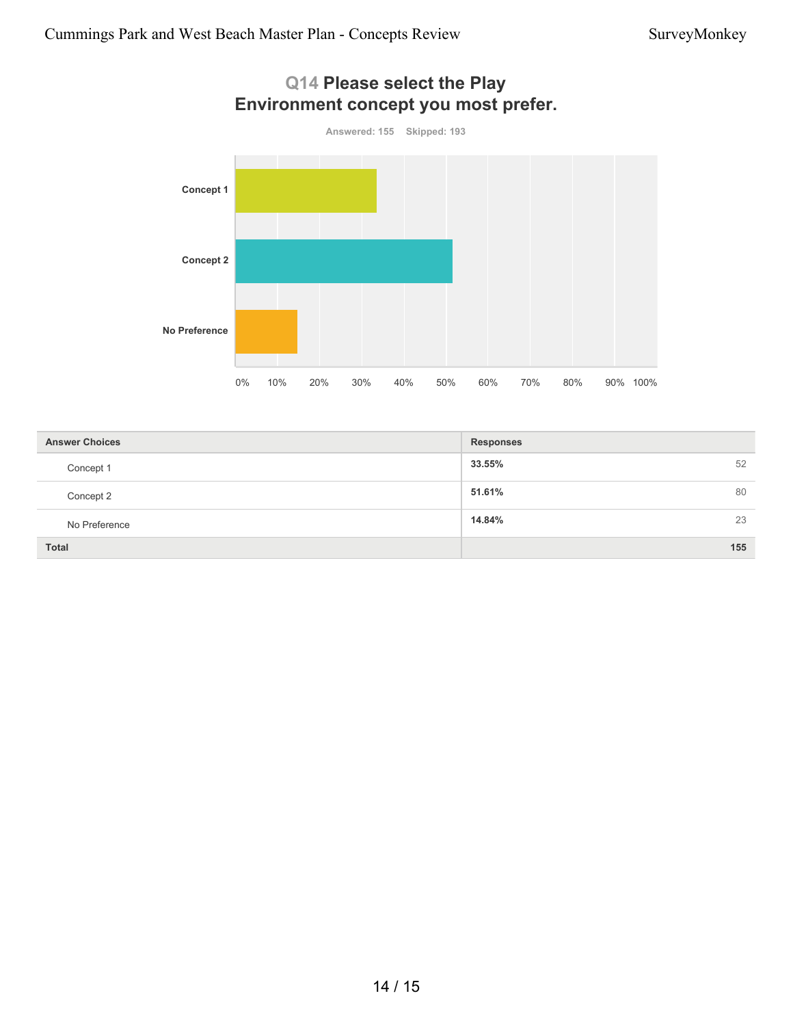

# **Q14 Please select the Play**

| <b>Answer Choices</b> | <b>Responses</b> |
|-----------------------|------------------|
| Concept 1             | 33.55%<br>52     |
| Concept 2             | 51.61%<br>80     |
| No Preference         | 14.84%<br>23     |
| <b>Total</b>          | 155              |